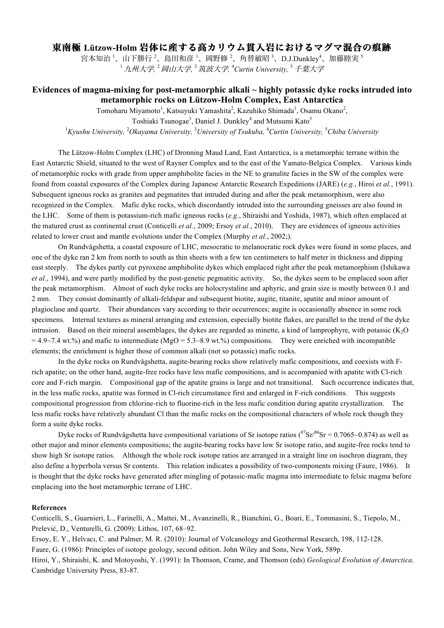## 東南極 **Lützow-Holm** 岩体に産する高カリウム貫入岩におけるマグマ混合の痕跡

宮本知治 '、山下勝行 '、島田和彦 '、岡野修 '、角替敏昭 '、D.J.Dunkley'、加藤睦実 ' <sup>1</sup>九州大学*,* <sup>2</sup>岡山大学*,* <sup>3</sup>筑波大学*,* <sup>4</sup> *Curtin University,* <sup>5</sup>千葉大学

## **Evidences of magma-mixing for post-metamorphic alkali ~ highly potassic dyke rocks intruded into metamorphic rocks on Lützow-Holm Complex, East Antarctica**

Tomoharu Miyamoto<sup>1</sup>, Katsuyuki Yamashita<sup>2</sup>, Kazuhiko Shimada<sup>1</sup>, Osamu Okano<sup>2</sup>, Toshiaki Tsunogae<sup>3</sup>, Daniel J. Dunkley<sup>4</sup> and Mutsumi Kato<sup>5</sup>

<sup>1</sup> Kyushu University, <sup>2</sup>Okayama University, <sup>3</sup>University of Tsukuba, <sup>4</sup>Curtin University, <sup>5</sup>Chiba University

The Lützow-Holm Complex (LHC) of Dronning Maud Land, East Antarctica, is a metamorphic terrane within the East Antarctic Shield, situated to the west of Rayner Complex and to the east of the Yamato-Belgica Complex. Various kinds of metamorphic rocks with grade from upper amphibolite facies in the NE to granulite facies in the SW of the complex were found from coastal exposures of the Complex during Japanese Antarctic Research Expeditions (JARE) (*e.g.*, Hiroi *et al.*, 1991). Subsequent igneous rocks as granites and pegmatites that intruded during and after the peak metamorphism, were also recognized in the Complex. Mafic dyke rocks, which discordantly intruded into the surrounding gneisses are also found in the LHC. Some of them is potassium-rich mafic igneous rocks (*e.g.*, Shiraishi and Yoshida, 1987), which often emplaced at the matured crust as continental crust (Conticelli *et al.*, 2009; Ersoy *et al.*, 2010). They are evidences of igneous activities related to lower crust and mantle evolutions under the Complex (Murphy *et al.*, 2002;).

On Rundvågshetta, a coastal exposure of LHC, mesocratic to melanocratic rock dykes were found in some places, and one of the dyke ran 2 km from north to south as thin sheets with a few ten centimeters to half meter in thickness and dipping east steeply. The dykes partly cut pyroxene amphibolite dykes which emplaced right after the peak metamorphism (Ishikawa *et al.*, 1994), and were partly modified by the post-genetic pegmatitic activity. So, the dykes seem to be emplaced soon after the peak metamorphism. Almost of such dyke rocks are holocrystaline and aphyric, and grain size is mostly between 0.1 and 2 mm. They consist dominantly of alkali-feldspar and subsequent biotite, augite, titanite, apatite and minor amount of plagioclase and quartz. Their abundances vary according to their occurrences; augite is occasionally absence in some rock specimens. Internal textures as mineral arranging and extension, especially biotite flakes, are parallel to the trend of the dyke intrusion. Based on their mineral assemblages, the dykes are regarded as minette, a kind of lamprophyre, with potassic  $(K_2O)$  $= 4.9 \times 7.4$  wt.%) and mafic to intermediate (MgO = 5.3~8.9 wt.%) compositions. They were enriched with incompatible elements; the enrichment is higher those of common alkali (not so potassic) mafic rocks.

In the dyke rocks on Rundvågshetta, augite-bearing rocks show relatively mafic compositions, and coexists with Frich apatite; on the other hand, augite-free rocks have less mafic compositions, and is accompanied with apatite with Cl-rich core and F-rich margin. Compositional gap of the apatite grains is large and not transitional. Such occurrence indicates that, in the less mafic rocks, apatite was formed in Cl-rich circumstance first and enlarged in F-rich conditions. This suggests compositional progression from chlorine-rich to fluorine-rich in the less mafic condition during apatite crystallization. The less mafic rocks have relatively abundant Cl than the mafic rocks on the compositional characters of whole rock though they form a suite dyke rocks.

Dyke rocks of Rundvågshetta have compositional variations of Sr isotope ratios ( ${}^{87}Sr/{}^{86}Sr = 0.7065 \sim 0.874$ ) as well as other major and minor elements compositions; the augite-bearing rocks have low Sr isotope ratio, and augite-free rocks tend to show high Sr isotope ratios. Although the whole rock isotope ratios are arranged in a straight line on isochron diagram, they also define a hyperbola versus Sr contents. This relation indicates a possibility of two-components mixing (Faure, 1986). It is thought that the dyke rocks have generated after mingling of potassic-mafic magma into intermediate to felsic magma before emplacing into the host metamorphic terrane of LHC.

## **References**

Conticelli, S., Guarnieri, L., Farinelli, A., Mattei, M., Avanzinelli, R., Bianchini, G., Boari, E., Tommasini, S., Tiepolo, M., Prelević, D., Venturelli, G. (2009): Lithos, 107, 68–92.

Ersoy, E. Y., Helvacı, C. and Palmer, M. R. (2010): Journal of Volcanology and Geothermal Research, 198, 112-128.

Faure, G. (1986): Principles of isotope geology, second edition. John Wiley and Sons, New York, 589p.

Hiroi, Y., Shiraishi, K. and Motoyoshi, Y. (1991): In Thomson, Crame, and Thomson (eds) *Geological Evolution of Antarctica*. Cambridge University Press, 83-87.